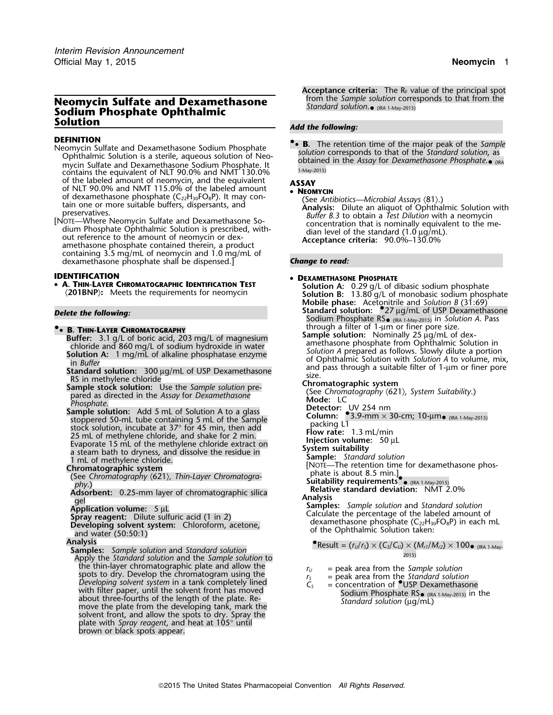## from the *Sample solution* corresponds to that from the **Neomycin Sulfate and Dexamethasone** *Standard solution*. Sodium Phosphate Ophthalmic<br>Solution

- Neomycin Sulfate and Dexamethasone Sodium Phosphate<br>Ophthalmic Solution is a sterile, aqueous solution of Neo-<br>olutional in the describer for Devempthese on the Solution, as mycin Sulfate and Dexamethasone Sodium Phosphate. It<br>contains the equivalent of NLT 90,0% and NMT 130,0% 1-May-2015) contains the equivalent of NLT 90.0% and NMT 130.0% of the labeled amount of neomycin, and the equivalent **ASSAY** of NLT 90.0% and NMT 115.0% of the labeled amount • **NEOMYCIN** of dexamethasone phosphate (C<sub>22</sub>H<sub>30</sub>FO<sub>8</sub>P). It may con-
- containing 3.5 mg/mL of neomycin and 1.0 mg/mL of dexamethasone phosphate shall be dispensed.] *Change to read:*

**IDENTIFICATION<br>• A. Thin-Layer Chromatographic Identification Test** •

### • B. THIN-LAYER CHROMATOGRAPHY  $\bullet$  **R** THIN I AVED CHROMATOGRAPHY **A filter of through a filter of 1-**µm or finer pore size.

- 
- 
- **Sample stock solution:** Use the *Sample solution* pre-<br>nared as directed in the Assay for Dexamethasone (See Chromatography (621), System Suitability.) pared as directed in the *Assay* for *Dexamethasone* **Cancel in Suitable Billion Mode:** LC *Phosphate*.
- **Sample solution:** Add 5 mL of Solution A to a glass Subpered 50-mL tube containing 5 mL of the Sample<br>
stock solution, incubate at 37° for 45 min, then add<br>
25 mL of methylene chloride, and shake for 2 min.<br>
Evaporate 15 mL of the methylene chloride extract on<br>
a steam bath
- 
- example of the second contract the contract of the contract of the contract of the second point of the second point of the second point of the second point of the second point of the second point of the second point of the
- Adsorbent: 0.25-mm layer of chromatographic silica **Relativity**<br>gel **Analysis**
- 
- 
- 
- 
- **Analysis**<br>**Samples:** Sample solution and Standard solution (IRC 1-May- *Sample solution* and *Standard solution*<br>Apply the *Standard solution* and the *Sample solution* to<br>the thin-layer chromatographic plate and allow the<br> $r_{\mu}$  = peak area from the *Sample* the thin-layer chromatographic plate and allow the<br>spots to dry. Develop the chromatogram using the<br>Developing solvent system in a tank completely lined<br>with filter paper, until the solvent front has moved<br>with the space, with filter paper, until the solvent front has moved<br>about three-fourths of the length of the plate. Re-<br>move the plate from the developing tank, mark the<br>*Standard solution* (µg/mL) solvent front, and allow the spots to dry. Spray the plate with *Spray reagent*, and heat at 105° until brown or black spots appear.

**Acceptance criteria:** The R<sub>F</sub> value of the principal spot from the *Sample solution* corresponds to that from the Standard solution. $\bullet$  (IRA 1-May-2015)

## **Add the following:**

**DEFINITION**<br>Neomycin Sulfate and Devamethasone Sodium Phosphate **•• B.** The retention time of the major peak of the Sample • (IRA

of decoration of the same<br>thas one phosphate  $(C_2H_{30}FO_8P)$ . It may contrating the *See Antibiotics—Microbial Assays* (81).)<br>tain one or more suitable buffers, dispersants, and<br>preservatives.<br>[NOTE—Where Neomycin Sulfate

### **DEXAMETHASONE PHOSPHATE**

**A. THIN-LAYER CHROMATOGRAPHIC IDENTIFICATION TEST** Solution A: 0.29 g/L of dibasic sodium phosphate<br>(201BNP): Meets the requirements for neomycin says solution B: 13.80 g/L of monobasic sodium phosphate **Mobile phase:** Acetonitrile and *Solution B* (31:69) *Delete the following:* **Standard solution:** •.<sup>27</sup> <sup>µ</sup>g/mL of USP Dexamethasone Sodium Phosphate RS• (IRA 1-May-2015) in *Solution A*. Pass

- **Example Solution:** Nominally 25 ug/mL of dex-<br> **Example Solution:** Nominally 25 ug/mL of dex-<br>
chloride and 860 mg/L of sodium hydroxide in water<br> **Solution A:** 1 mg/mL of alkaline phosphatase enzyme<br>
in *Buffer*<br> **Soluti** 
	-

- 
- **Detector:** UV 254 nm<br>**Column:** 3.9-mm × 30-cm; 10-µm <sub>● (IRA 1-May-2015)</sub>
- 
- 

- 
- 
- 
- 

Gel<br>
Analysis<br>
Application volume: 5 µL<br>
Spray reagent: Dilute sulfuric acid (1 in 2)<br>
Developing solvent system: Chloroform, acetone,<br>
and water (50:50:1)<br>
and water (50:50:1)

# $\bullet$  Result =  $(r_U/r_S) \times (C_S/C_U) \times (M_{r1}/M_{r2}) \times 100 \bullet$  (IRA 1-May-

- 
- 
-